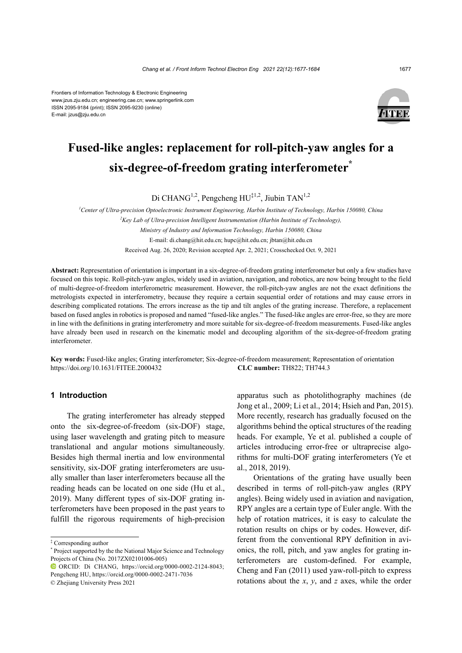Frontiers of Information Technology & Electronic Engineering www.jzus.zju.edu.cn; engineering.cae.cn; www.springerlink.com ISSN 2095-9184 (print); ISSN 2095-9230 (online) E-mail: jzus@zju.edu.cn



# **Fused-like angles: replacement for roll-pitch-yaw angles for a six-degree-of-freedom grating interferometer\***

Di CHANG<sup>1,2</sup>, Pengcheng HU<sup>‡1,2</sup>, Jiubin TAN<sup>1,2</sup>

*1 Center of Ultra-precision Optoelectronic Instrument Engineering, Harbin Institute of Technology, Harbin 150080, China 2 Key Lab of Ultra-precision Intelligent Instrumentation (Harbin Institute of Technology), Ministry of Industry and Information Technology, Harbin 150080, China* E-mail: di.chang@hit.edu.cn; hupc@hit.edu.cn; jbtan@hit.edu.cn Received Aug. 26, 2020; Revision accepted Apr. 2, 2021; Crosschecked Oct. 9, 2021

**Abstract:** Representation of orientation is important in a six-degree-of-freedom grating interferometer but only a few studies have focused on this topic. Roll-pitch-yaw angles, widely used in aviation, navigation, and robotics, are now being brought to the field of multi-degree-of-freedom interferometric measurement. However, the roll-pitch-yaw angles are not the exact definitions the metrologists expected in interferometry, because they require a certain sequential order of rotations and may cause errors in describing complicated rotations. The errors increase as the tip and tilt angles of the grating increase. Therefore, a replacement based on fused angles in robotics is proposed and named "fused-like angles." The fused-like angles are error-free, so they are more in line with the definitions in grating interferometry and more suitable for six-degree-of-freedom measurements. Fused-like angles have already been used in research on the kinematic model and decoupling algorithm of the six-degree-of-freedom grating interferometer.

**Key words:** Fused-like angles; Grating interferometer; Six-degree-of-freedom measurement; Representation of orientation https://doi.org/10.1631/FITEE.2000432 **CLC number:** TH822; TH744.3

## **1 Introduction**

The grating interferometer has already stepped onto the six-degree-of-freedom (six-DOF) stage, using laser wavelength and grating pitch to measure translational and angular motions simultaneously. Besides high thermal inertia and low environmental sensitivity, six-DOF grating interferometers are usually smaller than laser interferometers because all the reading heads can be located on one side (Hu et al., 2019). Many different types of six-DOF grating interferometers have been proposed in the past years to fulfill the rigorous requirements of high-precision

‡ Corresponding author

apparatus such as photolithography machines (de Jong et al., 2009; Li et al., 2014; Hsieh and Pan, 2015). More recently, research has gradually focused on the algorithms behind the optical structures of the reading heads. For example, Ye et al. published a couple of articles introducing error-free or ultraprecise algorithms for multi-DOF grating interferometers (Ye et al., 2018, 2019).

Orientations of the grating have usually been described in terms of roll-pitch-yaw angles (RPY angles). Being widely used in aviation and navigation, RPY angles are a certain type of Euler angle. With the help of rotation matrices, it is easy to calculate the rotation results on chips or by codes. However, different from the conventional RPY definition in avionics, the roll, pitch, and yaw angles for grating interferometers are custom-defined. For example, Cheng and Fan (2011) used yaw-roll-pitch to express rotations about the *x*, *y*, and *z* axes, while the order

<sup>\*</sup> Project supported by the the National Major Science and Technology Projects of China (No. 2017ZX02101006-005)

ORCID: Di CHANG, https://orcid.org/0000-0002-2124-8043; Pengcheng HU, https://orcid.org/0000-0002-2471-7036 © Zhejiang University Press 2021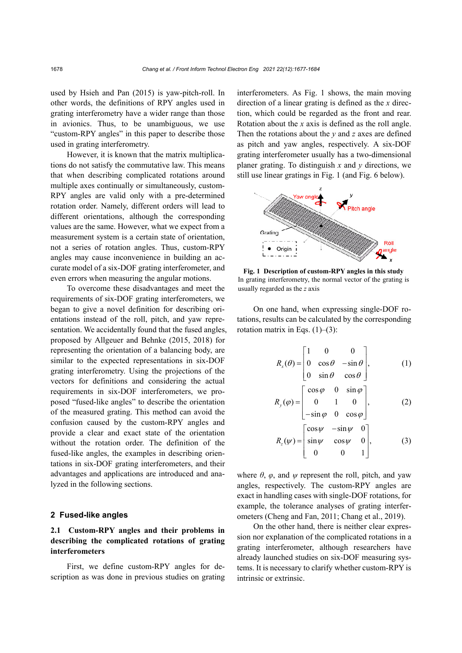used by Hsieh and Pan (2015) is yaw-pitch-roll. In other words, the definitions of RPY angles used in grating interferometry have a wider range than those in avionics. Thus, to be unambiguous, we use "custom-RPY angles" in this paper to describe those used in grating interferometry.

However, it is known that the matrix multiplications do not satisfy the commutative law. This means that when describing complicated rotations around multiple axes continually or simultaneously, custom-RPY angles are valid only with a pre-determined rotation order. Namely, different orders will lead to different orientations, although the corresponding values are the same. However, what we expect from a measurement system is a certain state of orientation, not a series of rotation angles. Thus, custom-RPY angles may cause inconvenience in building an accurate model of a six-DOF grating interferometer, and even errors when measuring the angular motions.

To overcome these disadvantages and meet the requirements of six-DOF grating interferometers, we began to give a novel definition for describing orientations instead of the roll, pitch, and yaw representation. We accidentally found that the fused angles, proposed by Allgeuer and Behnke (2015, 2018) for representing the orientation of a balancing body, are similar to the expected representations in six-DOF grating interferometry. Using the projections of the vectors for definitions and considering the actual requirements in six-DOF interferometers, we proposed "fused-like angles" to describe the orientation of the measured grating. This method can avoid the confusion caused by the custom-RPY angles and provide a clear and exact state of the orientation without the rotation order. The definition of the fused-like angles, the examples in describing orientations in six-DOF grating interferometers, and their advantages and applications are introduced and analyzed in the following sections.

### **2 Fused-like angles**

## **2.1 Custom-RPY angles and their problems in describing the complicated rotations of grating interferometers**

First, we define custom-RPY angles for description as was done in previous studies on grating interferometers. As Fig. 1 shows, the main moving direction of a linear grating is defined as the *x* direction, which could be regarded as the front and rear. Rotation about the *x* axis is defined as the roll angle. Then the rotations about the *y* and *z* axes are defined as pitch and yaw angles, respectively. A six-DOF grating interferometer usually has a two-dimensional planer grating. To distinguish *x* and *y* directions, we still use linear gratings in Fig. 1 (and Fig. 6 below).



**Fig. 1 Description of custom-RPY angles in this study**  In grating interferometry, the normal vector of the grating is usually regarded as the *z* axis

On one hand, when expressing single-DOF rotations, results can be calculated by the corresponding rotation matrix in Eqs.  $(1)$ – $(3)$ :

$$
R_x(\theta) = \begin{bmatrix} 1 & 0 & 0 \\ 0 & \cos \theta & -\sin \theta \\ 0 & \sin \theta & \cos \theta \end{bmatrix}, \qquad (1)
$$
  

$$
R_y(\varphi) = \begin{bmatrix} \cos \varphi & 0 & \sin \varphi \\ 0 & 1 & 0 \\ -\sin \varphi & 0 & \cos \varphi \end{bmatrix}, \qquad (2)
$$
  

$$
R_z(\psi) = \begin{bmatrix} \cos \psi & -\sin \psi & 0 \\ \sin \psi & \cos \psi & 0 \\ 0 & 0 & 1 \end{bmatrix}, \qquad (3)
$$

where  $\theta$ ,  $\varphi$ , and  $\psi$  represent the roll, pitch, and yaw angles, respectively. The custom-RPY angles are exact in handling cases with single-DOF rotations, for example, the tolerance analyses of grating interferometers (Cheng and Fan, 2011; Chang et al., 2019).

On the other hand, there is neither clear expression nor explanation of the complicated rotations in a grating interferometer, although researchers have already launched studies on six-DOF measuring systems. It is necessary to clarify whether custom-RPY is intrinsic or extrinsic.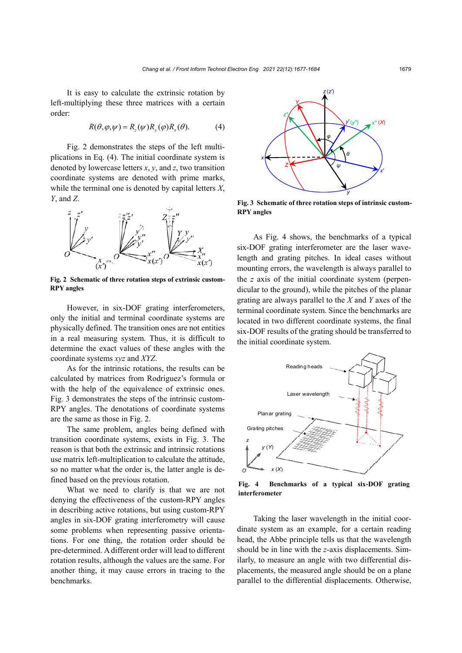It is easy to calculate the extrinsic rotation by left-multiplying these three matrices with a certain order:

$$
R(\theta, \varphi, \psi) = R_z(\psi) R_y(\varphi) R_x(\theta).
$$
 (4)

Fig. 2 demonstrates the steps of the left multiplications in Eq. (4). The initial coordinate system is denoted by lowercase letters *x*, *y*, and *z*, two transition coordinate systems are denoted with prime marks, while the terminal one is denoted by capital letters *X*, *Y*, and *Z*.



**Fig. 2 Schematic of three rotation steps of extrinsic custom-RPY angles** 

However, in six-DOF grating interferometers, only the initial and terminal coordinate systems are physically defined. The transition ones are not entities in a real measuring system. Thus, it is difficult to determine the exact values of these angles with the coordinate systems *xyz* and *XYZ*.

As for the intrinsic rotations, the results can be calculated by matrices from Rodriguez's formula or with the help of the equivalence of extrinsic ones. Fig. 3 demonstrates the steps of the intrinsic custom-RPY angles. The denotations of coordinate systems are the same as those in Fig. 2.

The same problem, angles being defined with transition coordinate systems, exists in Fig. 3. The reason is that both the extrinsic and intrinsic rotations use matrix left-multiplication to calculate the attitude, so no matter what the order is, the latter angle is defined based on the previous rotation.

What we need to clarify is that we are not denying the effectiveness of the custom-RPY angles in describing active rotations, but using custom-RPY angles in six-DOF grating interferometry will cause some problems when representing passive orientations. For one thing, the rotation order should be pre-determined. A different order will lead to different rotation results, although the values are the same. For another thing, it may cause errors in tracing to the benchmarks.



**Fig. 3 Schematic of three rotation steps of intrinsic custom-RPY angles** 

As Fig. 4 shows, the benchmarks of a typical six-DOF grating interferometer are the laser wavelength and grating pitches. In ideal cases without mounting errors, the wavelength is always parallel to the *z* axis of the initial coordinate system (perpendicular to the ground), while the pitches of the planar grating are always parallel to the *X* and *Y* axes of the terminal coordinate system. Since the benchmarks are located in two different coordinate systems, the final six-DOF results of the grating should be transferred to the initial coordinate system.



**Fig. 4 Benchmarks of a typical six-DOF grating interferometer** 

Taking the laser wavelength in the initial coordinate system as an example, for a certain reading head, the Abbe principle tells us that the wavelength should be in line with the *z*-axis displacements. Similarly, to measure an angle with two differential displacements, the measured angle should be on a plane parallel to the differential displacements. Otherwise,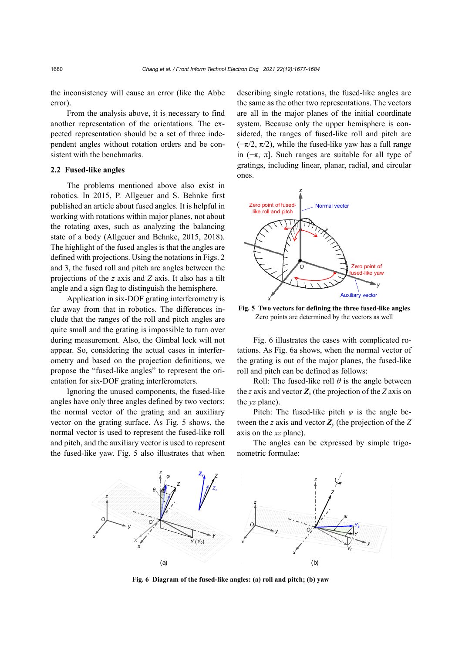the inconsistency will cause an error (like the Abbe error).

From the analysis above, it is necessary to find another representation of the orientations. The expected representation should be a set of three independent angles without rotation orders and be consistent with the benchmarks.

#### **2.2 Fused-like angles**

The problems mentioned above also exist in robotics. In 2015, P. Allgeuer and S. Behnke first published an article about fused angles. It is helpful in working with rotations within major planes, not about the rotating axes, such as analyzing the balancing state of a body (Allgeuer and Behnke, 2015, 2018). The highlight of the fused angles is that the angles are defined with projections. Using the notations in Figs. 2 and 3, the fused roll and pitch are angles between the projections of the *z* axis and *Z* axis. It also has a tilt angle and a sign flag to distinguish the hemisphere.

Application in six-DOF grating interferometry is far away from that in robotics. The differences include that the ranges of the roll and pitch angles are quite small and the grating is impossible to turn over during measurement. Also, the Gimbal lock will not appear. So, considering the actual cases in interferometry and based on the projection definitions, we propose the "fused-like angles" to represent the orientation for six-DOF grating interferometers.

Ignoring the unused components, the fused-like angles have only three angles defined by two vectors: the normal vector of the grating and an auxiliary vector on the grating surface. As Fig. 5 shows, the normal vector is used to represent the fused-like roll and pitch, and the auxiliary vector is used to represent the fused-like yaw. Fig. 5 also illustrates that when

describing single rotations, the fused-like angles are the same as the other two representations. The vectors are all in the major planes of the initial coordinate system. Because only the upper hemisphere is considered, the ranges of fused-like roll and pitch are  $(-\pi/2, \pi/2)$ , while the fused-like yaw has a full range in  $(-\pi, \pi]$ . Such ranges are suitable for all type of gratings, including linear, planar, radial, and circular ones.



**Fig. 5 Two vectors for defining the three fused-like angles**  Zero points are determined by the vectors as well

Fig. 6 illustrates the cases with complicated rotations. As Fig. 6a shows, when the normal vector of the grating is out of the major planes, the fused-like roll and pitch can be defined as follows:

Roll: The fused-like roll  $\theta$  is the angle between the *z* axis and vector  $Z<sub>x</sub>$  (the projection of the *Z* axis on the *yz* plane).

Pitch: The fused-like pitch  $\varphi$  is the angle between the *z* axis and vector *Zy* (the projection of the *Z* axis on the *xz* plane).

The angles can be expressed by simple trigonometric formulae:



**Fig. 6 Diagram of the fused-like angles: (a) roll and pitch; (b) yaw**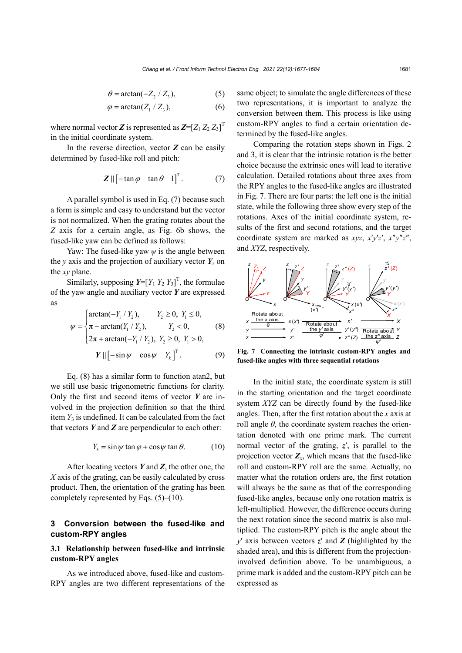$$
\theta = \arctan(-Z_2 / Z_3),\tag{5}
$$

$$
\varphi = \arctan(Z_1 / Z_3),\tag{6}
$$

where normal vector  $Z$  is represented as  $Z = [Z_1 Z_2 Z_3]^T$ in the initial coordinate system.

In the reverse direction, vector *Z* can be easily determined by fused-like roll and pitch:

$$
\mathbf{Z} \parallel \begin{bmatrix} -\tan \varphi & \tan \theta & 1 \end{bmatrix}^{\mathrm{T}}. \tag{7}
$$

A parallel symbol is used in Eq. (7) because such a form is simple and easy to understand but the vector is not normalized. When the grating rotates about the *Z* axis for a certain angle, as Fig. 6b shows, the fused-like yaw can be defined as follows:

Yaw: The fused-like yaw  $\psi$  is the angle between the *y* axis and the projection of auxiliary vector  $Y_z$  on the *xy* plane.

Similarly, supposing  $Y = [Y_1 \ Y_2 \ Y_3]^T$ , the formulae of the yaw angle and auxiliary vector *Y* are expressed as

$$
\psi = \begin{cases}\n\arctan(-Y_1 / Y_2), & Y_2 \ge 0, Y_1 \le 0, \\
\pi - \arctan(Y_1 / Y_2), & Y_2 < 0, \\
2\pi + \arctan(-Y_1 / Y_2), Y_2 \ge 0, Y_1 > 0,\n\end{cases}
$$
\n(8)  
\n
$$
Y \parallel [-\sin \psi \cos \psi Y_k]^T.
$$

Eq. (8) has a similar form to function atan2, but we still use basic trigonometric functions for clarity. Only the first and second items of vector *Y* are involved in the projection definition so that the third item  $Y_3$  is undefined. It can be calculated from the fact that vectors  $Y$  and  $Z$  are perpendicular to each other:

$$
Y_3 = \sin \psi \tan \varphi + \cos \psi \tan \theta. \tag{10}
$$

After locating vectors *Y* and *Z*, the other one, the *X* axis of the grating, can be easily calculated by cross product. Then, the orientation of the grating has been completely represented by Eqs.  $(5)$ – $(10)$ .

## **3 Conversion between the fused-like and custom-RPY angles**

## **3.1 Relationship between fused-like and intrinsic custom-RPY angles**

As we introduced above, fused-like and custom-RPY angles are two different representations of the same object; to simulate the angle differences of these two representations, it is important to analyze the conversion between them. This process is like using custom-RPY angles to find a certain orientation determined by the fused-like angles.

Comparing the rotation steps shown in Figs. 2 and 3, it is clear that the intrinsic rotation is the better choice because the extrinsic ones will lead to iterative calculation. Detailed rotations about three axes from the RPY angles to the fused-like angles are illustrated in Fig. 7. There are four parts: the left one is the initial state, while the following three show every step of the rotations. Axes of the initial coordinate system, results of the first and second rotations, and the target coordinate system are marked as *xyz*, *x*′*y*′*z*′, *x*″*y*″*z*″, and *XYZ*, respectively.



**Fig. 7 Connecting the intrinsic custom-RPY angles and fused-like angles with three sequential rotations** 

In the initial state, the coordinate system is still in the starting orientation and the target coordinate system *XYZ* can be directly found by the fused-like angles. Then, after the first rotation about the *x* axis at roll angle  $\theta$ , the coordinate system reaches the orientation denoted with one prime mark. The current normal vector of the grating, *z*′, is parallel to the projection vector  $Z_x$ , which means that the fused-like roll and custom-RPY roll are the same. Actually, no matter what the rotation orders are, the first rotation will always be the same as that of the corresponding fused-like angles, because only one rotation matrix is left-multiplied. However, the difference occurs during the next rotation since the second matrix is also multiplied. The custom-RPY pitch is the angle about the *y*′ axis between vectors *z*′ and *Z* (highlighted by the shaded area), and this is different from the projectioninvolved definition above. To be unambiguous, a prime mark is added and the custom-RPY pitch can be expressed as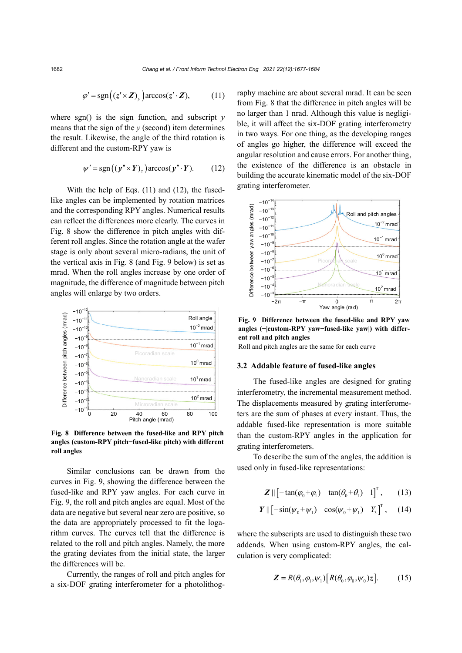$$
\varphi' = \text{sgn}\big((z' \times Z)_{y}\big)\arccos(z' \cdot Z),\tag{11}
$$

where sgn() is the sign function, and subscript *y* means that the sign of the *y* (second) item determines the result. Likewise, the angle of the third rotation is different and the custom-RPY yaw is

$$
\psi' = \text{sgn}((y'' \times Y)_z) \arccos(y'' \cdot Y). \quad (12)
$$

With the help of Eqs. (11) and (12), the fusedlike angles can be implemented by rotation matrices and the corresponding RPY angles. Numerical results can reflect the differences more clearly. The curves in Fig. 8 show the difference in pitch angles with different roll angles. Since the rotation angle at the wafer stage is only about several micro-radians, the unit of the vertical axis in Fig. 8 (and Fig. 9 below) is set as mrad. When the roll angles increase by one order of magnitude, the difference of magnitude between pitch angles will enlarge by two orders.



**Fig. 8 Difference between the fused-like and RPY pitch angles (custom-RPY pitch−fused-like pitch) with different roll angles** 

Similar conclusions can be drawn from the curves in Fig. 9, showing the difference between the fused-like and RPY yaw angles. For each curve in Fig. 9, the roll and pitch angles are equal. Most of the data are negative but several near zero are positive, so the data are appropriately processed to fit the logarithm curves. The curves tell that the difference is related to the roll and pitch angles. Namely, the more the grating deviates from the initial state, the larger the differences will be.

Currently, the ranges of roll and pitch angles for a six-DOF grating interferometer for a photolithography machine are about several mrad. It can be seen from Fig. 8 that the difference in pitch angles will be no larger than 1 nrad. Although this value is negligible, it will affect the six-DOF grating interferometry in two ways. For one thing, as the developing ranges of angles go higher, the difference will exceed the angular resolution and cause errors. For another thing, the existence of the difference is an obstacle in building the accurate kinematic model of the six-DOF grating interferometer.



**Fig. 9 Difference between the fused-like and RPY yaw angles (−|custom-RPY yaw−fused-like yaw|) with different roll and pitch angles** 

Roll and pitch angles are the same for each curve

#### **3.2 Addable feature of fused-like angles**

The fused-like angles are designed for grating interferometry, the incremental measurement method. The displacements measured by grating interferometers are the sum of phases at every instant. Thus, the addable fused-like representation is more suitable than the custom-RPY angles in the application for grating interferometers.

To describe the sum of the angles, the addition is used only in fused-like representations:

$$
\mathbf{Z} \parallel \left[ -\tan(\varphi_0 + \varphi_1) \quad \tan(\theta_0 + \theta_1) \quad 1 \right]^{\mathrm{T}}, \qquad (13)
$$

$$
Y \parallel [-\sin(\psi_0 + \psi_1) \quad \cos(\psi_0 + \psi_1) \quad Y_3]^T, \quad (14)
$$

where the subscripts are used to distinguish these two addends. When using custom-RPY angles, the calculation is very complicated:

$$
\mathbf{Z} = R(\theta_1, \varphi_1, \psi_1) [R(\theta_0, \varphi_0, \psi_0)z]. \tag{15}
$$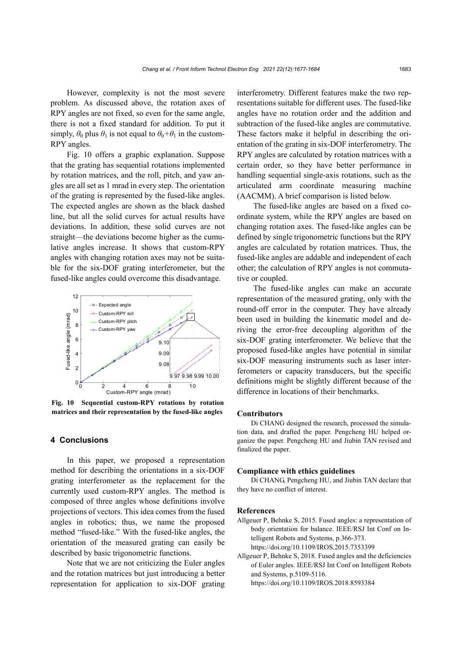However, complexity is not the most severe problem. As discussed above, the rotation axes of RPY angles are not fixed, so even for the same angle, there is not a fixed standard for addition. To put it simply,  $\theta_0$  plus  $\theta_1$  is not equal to  $\theta_0 + \theta_1$  in the custom-RPY angles.

Fig. 10 offers a graphic explanation. Suppose that the grating has sequential rotations implemented by rotation matrices, and the roll, pitch, and yaw angles are all set as 1 mrad in every step. The orientation of the grating is represented by the fused-like angles. The expected angles are shown as the black dashed line, but all the solid curves for actual results have deviations. In addition, these solid curves are not straight—the deviations become higher as the cumulative angles increase. It shows that custom-RPY angles with changing rotation axes may not be suitable for the six-DOF grating interferometer, but the fused-like angles could overcome this disadvantage.



**Fig. 10 Sequential custom-RPY rotations by rotation matrices and their representation by the fused-like angles** 

## **4 Conclusions**

In this paper, we proposed a representation method for describing the orientations in a six-DOF grating interferometer as the replacement for the currently used custom-RPY angles. The method is composed of three angles whose definitions involve projections of vectors. This idea comes from the fused angles in robotics; thus, we name the proposed method "fused-like." With the fused-like angles, the orientation of the measured grating can easily be described by basic trigonometric functions.

Note that we are not criticizing the Euler angles and the rotation matrices but just introducing a better representation for application to six-DOF grating interferometry. Different features make the two representations suitable for different uses. The fused-like angles have no rotation order and the addition and subtraction of the fused-like angles are commutative. These factors make it helpful in describing the orientation of the grating in six-DOF interferometry. The RPY angles are calculated by rotation matrices with a certain order, so they have better performance in handling sequential single-axis rotations, such as the articulated arm coordinate measuring machine (AACMM). A brief comparison is listed below.

The fused-like angles are based on a fixed coordinate system, while the RPY angles are based on changing rotation axes. The fused-like angles can be defined by single trigonometric functions but the RPY angles are calculated by rotation matrices. Thus, the fused-like angles are addable and independent of each other; the calculation of RPY angles is not commutative or coupled.

The fused-like angles can make an accurate representation of the measured grating, only with the round-off error in the computer. They have already been used in building the kinematic model and deriving the error-free decoupling algorithm of the six-DOF grating interferometer. We believe that the proposed fused-like angles have potential in similar six-DOF measuring instruments such as laser interferometers or capacity transducers, but the specific definitions might be slightly different because of the difference in locations of their benchmarks.

#### **Contributors**

Di CHANG designed the research, processed the simulation data, and drafted the paper. Pengcheng HU helped organize the paper. Pengcheng HU and Jiubin TAN revised and finalized the paper.

#### **Compliance with ethics guidelines**

Di CHANG, Pengcheng HU, and Jiubin TAN declare that they have no conflict of interest.

#### **References**

Allgeuer P, Behnke S, 2015. Fused angles: a representation of body orientation for balance. IEEE/RSJ Int Conf on Intelligent Robots and Systems, p.366-373. https://doi.org/10.1109/IROS.2015.7353399

Allgeuer P, Behnke S, 2018. Fused angles and the deficiencies of Euler angles. IEEE/RSJ Int Conf on Intelligent Robots and Systems, p.5109-5116.

https://doi.org/10.1109/IROS.2018.8593384